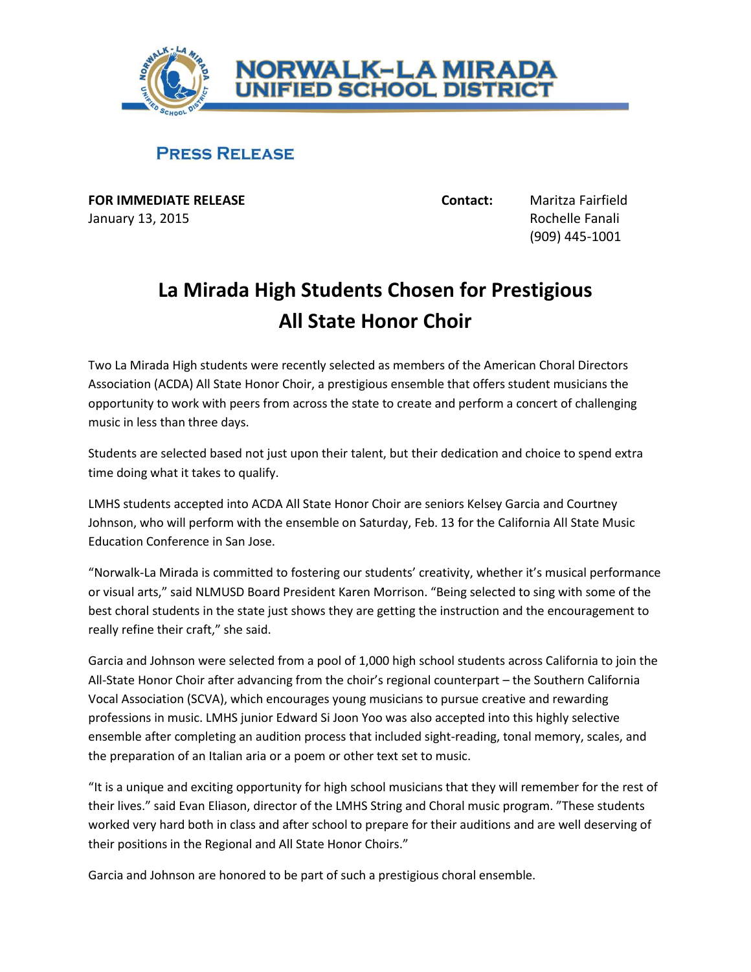

## **PRESS RELEASE**

**FOR IMMEDIATE RELEASE Contact:** Maritza Fairfield January 13, 2015 **Rochelle Fanali** 

(909) 445-1001

## **La Mirada High Students Chosen for Prestigious All State Honor Choir**

Two La Mirada High students were recently selected as members of the American Choral Directors Association (ACDA) All State Honor Choir, a prestigious ensemble that offers student musicians the opportunity to work with peers from across the state to create and perform a concert of challenging music in less than three days.

Students are selected based not just upon their talent, but their dedication and choice to spend extra time doing what it takes to qualify.

LMHS students accepted into ACDA All State Honor Choir are seniors Kelsey Garcia and Courtney Johnson, who will perform with the ensemble on Saturday, Feb. 13 for the California All State Music Education Conference in San Jose.

"Norwalk-La Mirada is committed to fostering our students' creativity, whether it's musical performance or visual arts," said NLMUSD Board President Karen Morrison. "Being selected to sing with some of the best choral students in the state just shows they are getting the instruction and the encouragement to really refine their craft," she said.

Garcia and Johnson were selected from a pool of 1,000 high school students across California to join the All-State Honor Choir after advancing from the choir's regional counterpart – the Southern California Vocal Association (SCVA), which encourages young musicians to pursue creative and rewarding professions in music. LMHS junior Edward Si Joon Yoo was also accepted into this highly selective ensemble after completing an audition process that included sight-reading, tonal memory, scales, and the preparation of an Italian aria or a poem or other text set to music.

"It is a unique and exciting opportunity for high school musicians that they will remember for the rest of their lives." said Evan Eliason, director of the LMHS String and Choral music program. "These students worked very hard both in class and after school to prepare for their auditions and are well deserving of their positions in the Regional and All State Honor Choirs."

Garcia and Johnson are honored to be part of such a prestigious choral ensemble.